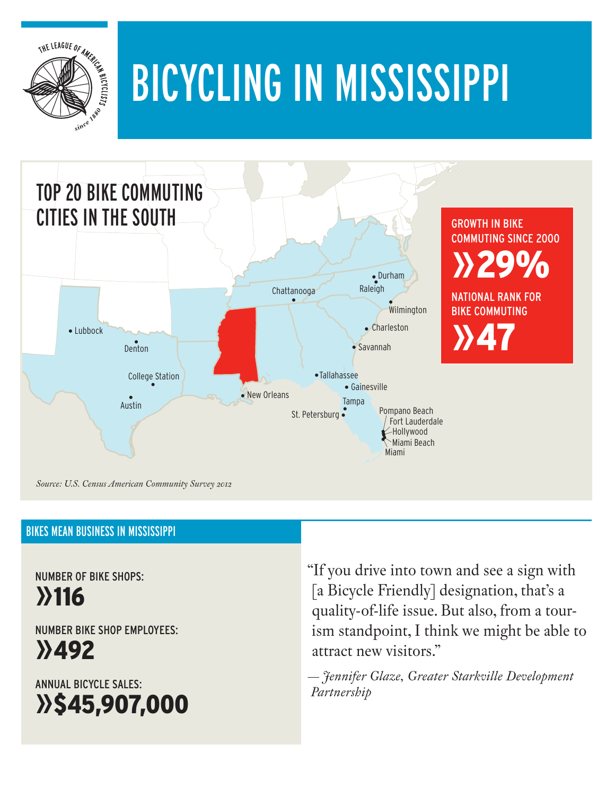

# Bicycling in mississippi



#### **BIKES MEAN BUSINESS IN MISSISSIPP**

Number of Bike Shops: »116

Number Bike Shop Employees:

»492

Annual Bicycle Sales: »\$45,907,000 "If you drive into town and see a sign with [a Bicycle Friendly] designation, that's a quality-of-life issue. But also, from a tourism standpoint, I think we might be able to attract new visitors."

*— Jennifer Glaze, Greater Starkville Development Partnership*